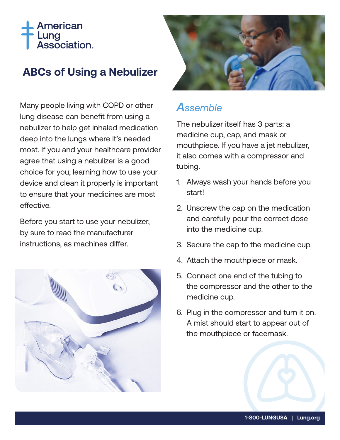# American Lung<br>Association.

## **ABCs of Using a Nebulizer**

Many people living with COPD or other lung disease can benefit from using a nebulizer to help get inhaled medication deep into the lungs where it's needed most. If you and your healthcare provider agree that using a nebulizer is a good choice for you, learning how to use your device and clean it properly is important to ensure that your medicines are most effective.

Before you start to use your nebulizer, by sure to read the manufacturer instructions, as machines differ.





## *Assemble*

The nebulizer itself has 3 parts: a medicine cup, cap, and mask or mouthpiece. If you have a jet nebulizer, it also comes with a compressor and tubing.

- 1. Always wash your hands before you start!
- 2. Unscrew the cap on the medication and carefully pour the correct dose into the medicine cup.
- 3. Secure the cap to the medicine cup.
- 4. Attach the mouthpiece or mask.
- 5. Connect one end of the tubing to the compressor and the other to the medicine cup.
- 6. Plug in the compressor and turn it on. A mist should start to appear out of the mouthpiece or facemask.